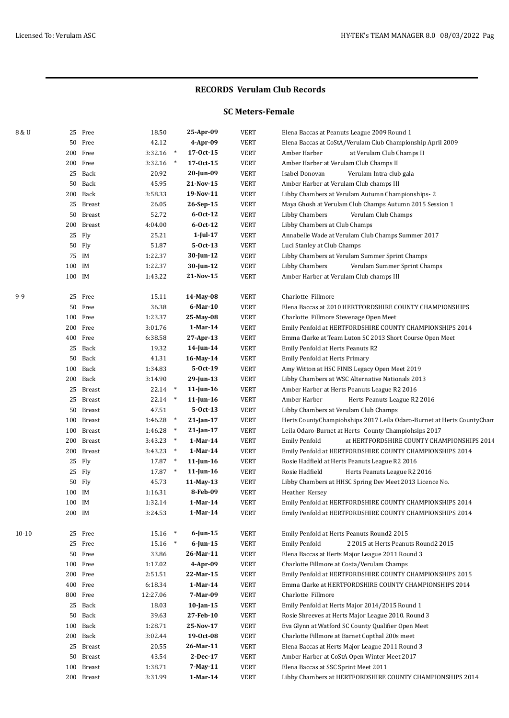## **SC Meters-Female**

| 8 & U     |        | 25 Free    | 18.50     |        | 25-Apr-09      | <b>VERT</b> | Elena Baccas at Peanuts League 2009 Round 1                                  |
|-----------|--------|------------|-----------|--------|----------------|-------------|------------------------------------------------------------------------------|
|           |        | 50 Free    | 42.12     |        | 4-Apr-09       | <b>VERT</b> | Elena Baccas at CoStA/Verulam Club Championship April 2009                   |
|           |        | 200 Free   | 3:32.16   | $\ast$ | 17-0ct-15      | <b>VERT</b> | Amber Harber<br>at Verulam Club Champs II                                    |
|           |        | 200 Free   | 3:32.16   | $\ast$ | 17-0ct-15      | <b>VERT</b> | Amber Harber at Verulam Club Champs II                                       |
|           |        | 25 Back    | 20.92     |        | 20-Jun-09      | <b>VERT</b> | Isabel Donovan<br>Verulam Intra-club gala                                    |
|           |        | 50 Back    | 45.95     |        | 21-Nov-15      | <b>VERT</b> | Amber Harber at Verulam Club champs III                                      |
|           |        | 200 Back   | 3:58.33   |        | 19-Nov-11      | <b>VERT</b> | Libby Chambers at Verulam Autumn Championships-2                             |
|           |        | 25 Breast  | 26.05     |        | 26-Sep-15      | <b>VERT</b> | Maya Ghosh at Verulam Club Champs Autumn 2015 Session 1                      |
|           |        | 50 Breast  | 52.72     |        | $6 - 0ct - 12$ | <b>VERT</b> | Verulam Club Champs<br>Libby Chambers                                        |
|           |        | 200 Breast | 4:04.00   |        | $6 - Oct - 12$ | <b>VERT</b> | Libby Chambers at Club Champs                                                |
|           |        | 25 Fly     | 25.21     |        | $1$ -Jul- $17$ | <b>VERT</b> | Annabelle Wade at Verulam Club Champs Summer 2017                            |
|           |        | 50 Fly     | 51.87     |        | $5-0ct-13$     | <b>VERT</b> | Luci Stanley at Club Champs                                                  |
|           |        | 75 IM      | 1:22.37   |        | $30$ -Jun-12   | <b>VERT</b> | Libby Chambers at Verulam Summer Sprint Champs                               |
|           | 100 IM |            | 1:22.37   |        | $30$ -Jun-12   | <b>VERT</b> | Libby Chambers<br>Verulam Summer Sprint Champs                               |
|           | 100 IM |            | 1:43.22   |        | 21-Nov-15      | <b>VERT</b> | Amber Harber at Verulam Club champs III                                      |
|           |        |            |           |        |                |             |                                                                              |
| 9-9       |        | 25 Free    | 15.11     |        | 14-May-08      | <b>VERT</b> | Charlotte Fillmore                                                           |
|           |        | 50 Free    | 36.38     |        | $6$ -Mar-10    | <b>VERT</b> | Elena Baccas at 2010 HERTFORDSHIRE COUNTY CHAMPIONSHIPS                      |
|           |        | 100 Free   | 1:23.37   |        | 25-May-08      | <b>VERT</b> | Charlotte Fillmore Stevenage Open Meet                                       |
|           |        | 200 Free   | 3:01.76   |        | $1-Mar-14$     | <b>VERT</b> | Emily Penfold at HERTFORDSHIRE COUNTY CHAMPIONSHIPS 2014                     |
|           |        | 400 Free   | 6:38.58   |        | 27-Apr-13      | <b>VERT</b> | Emma Clarke at Team Luton SC 2013 Short Course Open Meet                     |
|           |        | 25 Back    | 19.32     |        | 14-Jun-14      | <b>VERT</b> | Emily Penfold at Herts Peanuts R2                                            |
|           |        | 50 Back    | 41.31     |        | 16-May-14      | <b>VERT</b> | Emily Penfold at Herts Primary                                               |
|           |        | 100 Back   | 1:34.83   |        | $5-0ct-19$     | <b>VERT</b> | Amy Witton at HSC FINIS Legacy Open Meet 2019                                |
|           |        | 200 Back   | 3:14.90   |        | $29$ -Jun-13   | <b>VERT</b> | Libby Chambers at WSC Alternative Nationals 2013                             |
|           |        | 25 Breast  | 22.14     | $\ast$ | $11$ -Jun-16   | <b>VERT</b> | Amber Harber at Herts Peanuts League R2 2016                                 |
|           |        | 25 Breast  | 22.14     | $\ast$ | $11$ -Jun-16   | <b>VERT</b> | Amber Harber<br>Herts Peanuts League R2 2016                                 |
|           |        | 50 Breast  | 47.51     |        | $5-0ct-13$     | <b>VERT</b> | Libby Chambers at Verulam Club Champs                                        |
|           |        | 100 Breast | 1:46.28   | $\ast$ | $21$ -Jan-17   | <b>VERT</b> | Herts CountyChampiohships 2017 Leila Odaro-Burnet at Herts CountyChan        |
|           |        | 100 Breast | 1:46.28   | $\ast$ | $21$ -Jan-17   | <b>VERT</b> | Leila Odaro-Burnet at Herts County Champiohsips 2017                         |
|           |        | 200 Breast | 3:43.23   | $\ast$ | $1-Mar-14$     | <b>VERT</b> | at HERTFORDSHIRE COUNTY CHAMPIONSHIPS 2014<br>Emily Penfold                  |
|           |        | 200 Breast | 3:43.23   | $\ast$ | $1-Mar-14$     | <b>VERT</b> | Emily Penfold at HERTFORDSHIRE COUNTY CHAMPIONSHIPS 2014                     |
|           |        | 25 Fly     | 17.87     | $\ast$ | $11$ -Jun-16   | <b>VERT</b> | Rosie Hadfield at Herts Peanuts League R2 2016                               |
|           |        | 25 Fly     | $17.87$ * |        | $11$ -Jun-16   | <b>VERT</b> | Rosie Hadfield<br>Herts Peanuts League R2 2016                               |
|           |        | 50 Fly     | 45.73     |        | 11-May-13      | <b>VERT</b> | Libby Chambers at HHSC Spring Dev Meet 2013 Licence No.                      |
|           | 100 IM |            | 1:16.31   |        | 8-Feb-09       | <b>VERT</b> | Heather Kersey                                                               |
|           | 100 IM |            | 1:32.14   |        | $1-Mar-14$     | <b>VERT</b> | Emily Penfold at HERTFORDSHIRE COUNTY CHAMPIONSHIPS 2014                     |
|           | 200 IM |            | 3:24.53   |        | $1-Mar-14$     | <b>VERT</b> | Emily Penfold at HERTFORDSHIRE COUNTY CHAMPIONSHIPS 2014                     |
|           |        |            |           |        |                |             |                                                                              |
| $10 - 10$ |        | 25 Free    | 15.16     | $\ast$ | $6$ -Jun-15    | <b>VERT</b> | Emily Penfold at Herts Peanuts Round2 2015                                   |
|           |        | 25 Free    | 15.16     | $\ast$ | $6$ -Jun-15    | <b>VERT</b> | <b>Emily Penfold</b><br>2 2015 at Herts Peanuts Round2 2015                  |
|           |        | 50 Free    | 33.86     |        | 26-Mar-11      | <b>VERT</b> | Elena Baccas at Herts Major League 2011 Round 3                              |
|           |        | 100 Free   | 1:17.02   |        | 4-Apr-09       | <b>VERT</b> |                                                                              |
|           |        | 200 Free   | 2:51.51   |        | 22-Mar-15      | <b>VERT</b> | Charlotte Fillmore at Costa/Verulam Champs                                   |
|           |        |            | 6:18.34   |        | $1-Mar-14$     | <b>VERT</b> | Emily Penfold at HERTFORDSHIRE COUNTY CHAMPIONSHIPS 2015                     |
|           |        | 400 Free   |           |        |                |             | Emma Clarke at HERTFORDSHIRE COUNTY CHAMPIONSHIPS 2014<br>Charlotte Fillmore |
|           |        | 800 Free   | 12:27.06  |        | 7-Mar-09       | <b>VERT</b> |                                                                              |
|           |        | 25 Back    | 18.03     |        | $10$ -Jan-15   | <b>VERT</b> | Emily Penfold at Herts Major 2014/2015 Round 1                               |
|           |        | 50 Back    | 39.63     |        | 27-Feb-10      | <b>VERT</b> | Rosie Shreeves at Herts Major League 2010. Round 3                           |
|           |        | 100 Back   | 1:28.71   |        | 25-Nov-17      | <b>VERT</b> | Eva Glynn at Watford SC County Qualifier Open Meet                           |
|           |        | 200 Back   | 3:02.44   |        | 19-0ct-08      | <b>VERT</b> | Charlotte Fillmore at Barnet Copthal 200s meet                               |
|           |        | 25 Breast  | 20.55     |        | 26-Mar-11      | <b>VERT</b> | Elena Baccas at Herts Major League 2011 Round 3                              |
|           |        | 50 Breast  | 43.54     |        | 2-Dec-17       | <b>VERT</b> | Amber Harber at CoStA Open Winter Meet 2017                                  |
|           |        | 100 Breast | 1:38.71   |        | 7-May-11       | <b>VERT</b> | Elena Baccas at SSC Sprint Meet 2011                                         |
|           |        | 200 Breast | 3:31.99   |        | 1-Mar-14       | <b>VERT</b> | Libby Chambers at HERTFORDSHIRE COUNTY CHAMPIONSHIPS 2014                    |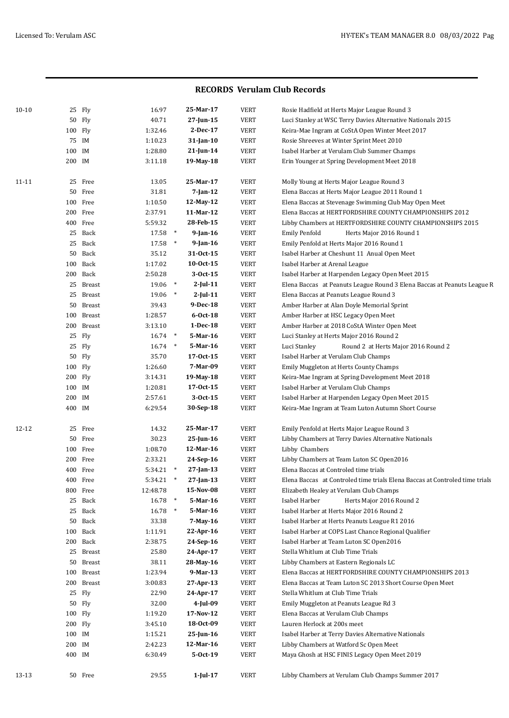|           |         |            |             |        |                       |             | RECORDS Verulam Club Records                                                |
|-----------|---------|------------|-------------|--------|-----------------------|-------------|-----------------------------------------------------------------------------|
| $10 - 10$ |         | 25 Fly     | 16.97       |        | 25-Mar-17             | <b>VERT</b> | Rosie Hadfield at Herts Major League Round 3                                |
|           |         | 50 Fly     | 40.71       |        | 27-Jun-15             | <b>VERT</b> | Luci Stanley at WSC Terry Davies Alternative Nationals 2015                 |
|           | 100 Fly |            | 1:32.46     |        | 2-Dec-17              | <b>VERT</b> | Keira-Mae Ingram at CoStA Open Winter Meet 2017                             |
|           |         | 75 IM      | 1:10.23     |        | 31-Jan-10             | <b>VERT</b> | Rosie Shreeves at Winter Sprint Meet 2010                                   |
|           | 100 IM  |            | 1:28.80     |        | 21-Jun-14             | <b>VERT</b> | Isabel Harber at Verulam Club Summer Champs                                 |
|           | 200 IM  |            | 3:11.18     |        | 19-May-18             | <b>VERT</b> | Erin Younger at Spring Development Meet 2018                                |
| 11-11     |         | 25 Free    | 13.05       |        | 25-Mar-17             | <b>VERT</b> | Molly Young at Herts Major League Round 3                                   |
|           |         | 50 Free    | 31.81       |        | 7-Jan-12              | <b>VERT</b> | Elena Baccas at Herts Major League 2011 Round 1                             |
|           |         | 100 Free   | 1:10.50     |        | 12-May-12             | <b>VERT</b> | Elena Baccas at Stevenage Swimming Club May Open Meet                       |
|           |         | 200 Free   | 2:37.91     |        | 11-Mar-12             | <b>VERT</b> | Elena Baccas at HERTFORDSHIRE COUNTY CHAMPIONSHIPS 2012                     |
|           |         | 400 Free   | 5:59.32     |        | 28-Feb-15             | <b>VERT</b> | Libby Chambers at HERTFORDSHIRE COUNTY CHAMPIONSHIPS 2015                   |
|           |         | 25 Back    | $17.58$ *   |        | 9-Jan-16              | <b>VERT</b> | Emily Penfold<br>Herts Major 2016 Round 1                                   |
|           |         | 25 Back    | $17.58$ *   |        | $9$ -Jan-16           | <b>VERT</b> | Emily Penfold at Herts Major 2016 Round 1                                   |
|           |         | 50 Back    | 35.12       |        | 31-Oct-15             | <b>VERT</b> | Isabel Harber at Cheshunt 11 Anual Open Meet                                |
|           |         | 100 Back   | 1:17.02     |        | $10-0ct-15$           | <b>VERT</b> | Isabel Harber at Arenal League                                              |
|           |         | 200 Back   | 2:50.28     |        | $3-0ct-15$            | <b>VERT</b> | Isabel Harber at Harpenden Legacy Open Meet 2015                            |
|           |         | 25 Breast  | 19.06 *     |        | $2$ -Jul-11           | <b>VERT</b> | Elena Baccas at Peanuts League Round 3 Elena Baccas at Peanuts League R     |
|           |         | 25 Breast  | $19.06$ *   |        | $2$ -Jul-11           | <b>VERT</b> | Elena Baccas at Peanuts League Round 3                                      |
|           |         | 50 Breast  | 39.43       |        | 9-Dec-18              | <b>VERT</b> | Amber Harber at Alan Doyle Memorial Sprint                                  |
|           |         | 100 Breast | 1:28.57     |        | $6 - Oct-18$          | <b>VERT</b> | Amber Harber at HSC Legacy Open Meet                                        |
|           |         | 200 Breast | 3:13.10     |        | $1-Dec-18$            | <b>VERT</b> | Amber Harber at 2018 CoStA Winter Open Meet                                 |
|           |         | 25 Fly     | $16.74$ *   |        | 5-Mar-16              | <b>VERT</b> | Luci Stanley at Herts Major 2016 Round 2                                    |
|           |         | 25 Fly     | 16.74 *     |        | 5-Mar-16              | <b>VERT</b> | Luci Stanley<br>Round 2 at Herts Major 2016 Round 2                         |
|           |         | 50 Fly     | 35.70       |        | 17-0ct-15             | <b>VERT</b> | Isabel Harber at Verulam Club Champs                                        |
|           | 100 Fly |            | 1:26.60     |        | 7-Mar-09              | <b>VERT</b> | Emily Muggleton at Herts County Champs                                      |
|           | 200 Fly |            | 3:14.31     |        | 19-May-18             | <b>VERT</b> | Keira-Mae Ingram at Spring Development Meet 2018                            |
|           | 100 IM  |            | 1:20.81     |        | 17-0ct-15             | <b>VERT</b> | Isabel Harber at Verulam Club Champs                                        |
|           | 200 IM  |            | 2:57.61     |        | $3-0ct-15$            | <b>VERT</b> | Isabel Harber at Harpenden Legacy Open Meet 2015                            |
|           | 400 IM  |            | 6:29.54     |        | 30-Sep-18             | <b>VERT</b> | Keira-Mae Ingram at Team Luton Autumn Short Course                          |
| 12-12     |         | 25 Free    | 14.32       |        | 25-Mar-17             | <b>VERT</b> | Emily Penfold at Herts Major League Round 3                                 |
|           |         | 50 Free    | 30.23       |        | 25-Jun-16             | <b>VERT</b> | Libby Chambers at Terry Davies Alternative Nationals                        |
|           |         | 100 Free   | 1:08.70     |        | 12-Mar-16             | <b>VERT</b> | Libby Chambers                                                              |
|           |         | 200 Free   | 2:33.21     |        | 24-Sep-16             | <b>VERT</b> | Libby Chambers at Team Luton SC Open2016                                    |
|           |         | 400 Free   | $5:34.21$ * |        | $27$ -Ian-13          | <b>VERT</b> | Elena Baccas at Controled time trials                                       |
|           |         | 400 Free   | 5:34.21     | $*$    | 27-Jan-13             | <b>VERT</b> | Elena Baccas at Controled time trials Elena Baccas at Controled time trials |
|           |         | 800 Free   | 12:48.78    |        | 15-Nov-08             | <b>VERT</b> | Elizabeth Healey at Verulam Club Champs                                     |
|           |         | 25 Back    | 16.78 *     |        | 5-Mar-16              | <b>VERT</b> | Isabel Harber<br>Herts Major 2016 Round 2                                   |
|           |         | 25 Back    | 16.78       | $\ast$ | 5-Mar-16              | <b>VERT</b> | Isabel Harber at Herts Major 2016 Round 2                                   |
|           |         | 50 Back    | 33.38       |        | 7-May-16              | <b>VERT</b> | Isabel Harber at Herts Peanuts League R1 2016                               |
|           |         | 100 Back   | 1:11.91     |        | 22-Apr-16             | <b>VERT</b> | Isabel Harber at COPS Last Chance Regional Qualifier                        |
|           |         | 200 Back   | 2:38.75     |        | 24-Sep-16             | <b>VERT</b> | Isabel Harber at Team Luton SC Open2016                                     |
|           |         |            | 25.80       |        |                       | <b>VERT</b> | Stella Whitlum at Club Time Trials                                          |
|           |         | 25 Breast  | 38.11       |        | 24-Apr-17             | <b>VERT</b> |                                                                             |
|           |         | 50 Breast  |             |        | 28-May-16<br>9-Mar-13 |             | Libby Chambers at Eastern Regionals LC                                      |
|           |         | 100 Breast | 1:23.94     |        |                       | <b>VERT</b> | Elena Baccas at HERTFORDSHIRE COUNTY CHAMPIONSHIPS 2013                     |
|           |         | 200 Breast | 3:00.83     |        | 27-Apr-13             | <b>VERT</b> | Elena Baccas at Team Luton SC 2013 Short Course Open Meet                   |
|           |         | 25 Fly     | 22.90       |        | 24-Apr-17             | <b>VERT</b> | Stella Whitlum at Club Time Trials                                          |
|           |         | 50 Fly     | 32.00       |        | 4-Jul-09              | <b>VERT</b> | Emily Muggleton at Peanuts League Rd 3                                      |
|           | 100 Fly |            | 1:19.20     |        | 17-Nov-12             | <b>VERT</b> | Elena Baccas at Verulam Club Champs                                         |
|           | 200 Fly |            | 3:45.10     |        | 18-Oct-09             | <b>VERT</b> | Lauren Herlock at 200s meet                                                 |
|           | 100 IM  |            | 1:15.21     |        | 25-Jun-16             | <b>VERT</b> | Isabel Harber at Terry Davies Alternative Nationals                         |
|           | 200 IM  |            | 2:42.23     |        | 12-Mar-16             | <b>VERT</b> | Libby Chambers at Watford Sc Open Meet                                      |
|           | 400 IM  |            | 6:30.49     |        | $5 - Oct - 19$        | <b>VERT</b> | Maya Ghosh at HSC FINIS Legacy Open Meet 2019                               |
| 13-13     |         | 50 Free    | 29.55       |        | $1$ -Jul- $17$        | <b>VERT</b> | Libby Chambers at Verulam Club Champs Summer 2017                           |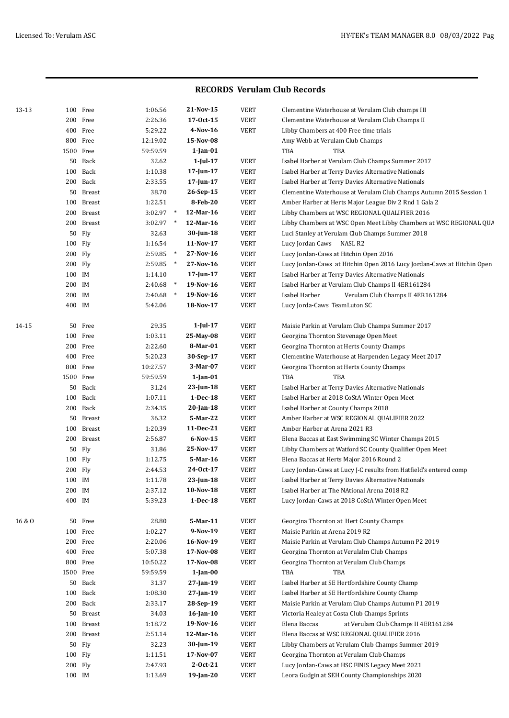| <b>RECORDS Verulam Club Records</b> |  |  |
|-------------------------------------|--|--|
|-------------------------------------|--|--|

| 13-13  |           | 100 Free   | 1:06.56     |        | 21-Nov-15       | <b>VERT</b> | Clementine Waterhouse at Verulam Club champs III                       |
|--------|-----------|------------|-------------|--------|-----------------|-------------|------------------------------------------------------------------------|
|        |           | 200 Free   | 2:26.36     |        | 17-0ct-15       | <b>VERT</b> | Clementine Waterhouse at Verulam Club Champs II                        |
|        |           | 400 Free   | 5:29.22     |        | 4-Nov-16        | <b>VERT</b> | Libby Chambers at 400 Free time trials                                 |
|        |           | 800 Free   | 12:19.02    |        | 15-Nov-08       |             | Amy Webb at Verulam Club Champs                                        |
|        | 1500 Free |            | 59:59.59    |        | $1$ -Jan- $01$  |             | TBA<br>TBA                                                             |
|        |           | 50 Back    | 32.62       |        | $1$ -Jul- $17$  | <b>VERT</b> | Isabel Harber at Verulam Club Champs Summer 2017                       |
|        |           | 100 Back   | 1:10.38     |        | 17-Jun-17       | <b>VERT</b> | Isabel Harber at Terry Davies Alternative Nationals                    |
|        |           | 200 Back   | 2:33.55     |        | 17-Jun-17       | <b>VERT</b> | Isabel Harber at Terry Davies Alternative Nationals                    |
|        |           | 50 Breast  | 38.70       |        | 26-Sep-15       | <b>VERT</b> | Clementine Waterhouse at Verulam Club Champs Autumn 2015 Session 1     |
|        |           | 100 Breast | 1:22.51     |        | 8-Feb-20        | <b>VERT</b> | Amber Harber at Herts Major League Div 2 Rnd 1 Gala 2                  |
|        |           | 200 Breast | $3:02.97$ * |        | 12-Mar-16       | <b>VERT</b> | Libby Chambers at WSC REGIONAL QUALIFIER 2016                          |
|        |           | 200 Breast | $3:02.97$ * |        | 12-Mar-16       | <b>VERT</b> | Libby Chambers at WSC Open Meet Libby Chambers at WSC REGIONAL QUA     |
|        |           | 50 Fly     | 32.63       |        | 30-Jun-18       | <b>VERT</b> | Luci Stanley at Verulam Club Champs Summer 2018                        |
|        | 100 Fly   |            | 1:16.54     |        | 11-Nov-17       | <b>VERT</b> | Lucy Jordan Caws NASL R2                                               |
|        | 200 Fly   |            | 2:59.85     | $\ast$ | 27-Nov-16       | <b>VERT</b> | Lucy Jordan-Caws at Hitchin Open 2016                                  |
|        | 200 Fly   |            | 2:59.85     | $*$    | 27-Nov-16       | <b>VERT</b> | Lucy Jordan-Caws at Hitchin Open 2016 Lucy Jordan-Caws at Hitchin Open |
|        | 100 IM    |            | 1:14.10     |        | $17$ -Jun-17    | <b>VERT</b> | Isabel Harber at Terry Davies Alternative Nationals                    |
|        | 200 IM    |            | 2:40.68     | $\ast$ | 19-Nov-16       | <b>VERT</b> | Isabel Harber at Verulam Club Champs II 4ER161284                      |
|        | 200 IM    |            | 2:40.68     | $\ast$ | 19-Nov-16       | <b>VERT</b> | Isabel Harber<br>Verulam Club Champs II 4ER161284                      |
|        | 400 IM    |            | 5:42.06     |        | 18-Nov-17       | <b>VERT</b> | Lucy Jorda-Caws TeamLuton SC                                           |
|        |           |            |             |        |                 |             |                                                                        |
| 14-15  |           | 50 Free    | 29.35       |        | $1$ -Jul-17     | <b>VERT</b> | Maisie Parkin at Verulam Club Champs Summer 2017                       |
|        |           | 100 Free   | 1:03.11     |        | 25-May-08       | <b>VERT</b> | Georgina Thornton Stevenage Open Meet                                  |
|        |           | 200 Free   | 2:22.60     |        | 8-Mar-01        | <b>VERT</b> | Georgina Thornton at Herts County Champs                               |
|        |           | 400 Free   | 5:20.23     |        | 30-Sep-17       | <b>VERT</b> | Clementine Waterhouse at Harpenden Legacy Meet 2017                    |
|        |           | 800 Free   | 10:27.57    |        | 3-Mar-07        | <b>VERT</b> | Georgina Thornton at Herts County Champs                               |
|        | 1500 Free |            | 59:59.59    |        | $1$ -Jan- $01$  |             | TBA<br>TBA                                                             |
|        |           | 50 Back    | 31.24       |        | 23-Jun-18       | <b>VERT</b> | Isabel Harber at Terry Davies Alternative Nationals                    |
|        |           | 100 Back   | 1:07.11     |        | $1-Dec-18$      | <b>VERT</b> | Isabel Harber at 2018 CoStA Winter Open Meet                           |
|        |           | 200 Back   | 2:34.35     |        | 20-Jan-18       | <b>VERT</b> | Isabel Harber at County Champs 2018                                    |
|        |           | 50 Breast  | 36.32       |        | 5-Mar-22        | <b>VERT</b> | Amber Harber at WSC REGIONAL QUALIFIER 2022                            |
|        |           | 100 Breast | 1:20.39     |        | 11-Dec-21       | <b>VERT</b> | Amber Harber at Arena 2021 R3                                          |
|        |           | 200 Breast | 2:56.87     |        | $6-Nov-15$      | <b>VERT</b> | Elena Baccas at East Swimming SC Winter Champs 2015                    |
|        |           | 50 Fly     | 31.86       |        | 25-Nov-17       | <b>VERT</b> | Libby Chambers at Watford SC County Qualifier Open Meet                |
|        | 100 Fly   |            | 1:12.75     |        | 5-Mar-16        | <b>VERT</b> | Elena Baccas at Herts Major 2016 Round 2                               |
|        | 200 Fly   |            | 2:44.53     |        | 24-0ct-17       | <b>VERT</b> | Lucy Jordan-Caws at Lucy J-C results from Hatfield's entered comp      |
|        | 100 IM    |            | 1:11.78     |        | 23-Jun-18       | <b>VERT</b> | Isabel Harber at Terry Davies Alternative Nationals                    |
|        | 200 IM    |            | 2:37.12     |        | 10-Nov-18       | <b>VERT</b> | Isabel Harber at The NAtional Arena 2018 R2                            |
|        | 400 IM    |            | 5:39.23     |        | 1-Dec-18        | <b>VERT</b> | Lucy Jordan-Caws at 2018 CoStA Winter Open Meet                        |
|        |           |            |             |        |                 |             |                                                                        |
| 16 & O |           | 50 Free    | 28.80       |        | 5-Mar-11        | <b>VERT</b> | Georgina Thornton at Hert County Champs                                |
|        |           | 100 Free   | 1:02.27     |        | 9-Nov-19        | <b>VERT</b> | Maisie Parkin at Arena 2019 R2                                         |
|        |           | 200 Free   | 2:20.06     |        | 16-Nov-19       | <b>VERT</b> | Maisie Parkin at Verulam Club Champs Autumn P2 2019                    |
|        |           | 400 Free   | 5:07.38     |        | 17-Nov-08       | <b>VERT</b> | Georgina Thornton at Verulalm Club Champs                              |
|        |           | 800 Free   | 10:50.22    |        | 17-Nov-08       | <b>VERT</b> | Georgina Thornton at Verulam Club Champs                               |
|        | 1500 Free |            | 59:59.59    |        | $1$ -Jan- $00$  |             | TBA<br>TBA                                                             |
|        |           | 50 Back    | 31.37       |        | 27-Jan-19       | <b>VERT</b> | Isabel Harber at SE Hertfordshire County Champ                         |
|        |           | 100 Back   | 1:08.30     |        | 27-Jan-19       | <b>VERT</b> | Isabel Harber at SE Hertfordshire County Champ                         |
|        |           | 200 Back   | 2:33.17     |        | 28-Sep-19       | <b>VERT</b> | Maisie Parkin at Verulam Club Champs Autumn P1 2019                    |
|        |           | 50 Breast  | 34.03       |        | $16$ -Jan- $10$ | <b>VERT</b> | Victoria Healey at Costa Club Champs Sprints                           |
|        |           | 100 Breast | 1:18.72     |        | 19-Nov-16       | <b>VERT</b> | Elena Baccas<br>at Verulam Club Champs II 4ER161284                    |
|        |           | 200 Breast | 2:51.14     |        | 12-Mar-16       | <b>VERT</b> | Elena Baccas at WSC REGIONAL QUALIFIER 2016                            |
|        |           | 50 Fly     | 32.23       |        | 30-Jun-19       | <b>VERT</b> | Libby Chambers at Verulam Club Champs Summer 2019                      |
|        | 100 Fly   |            | 1:11.51     |        | 17-Nov-07       | <b>VERT</b> | Georgina Thornton at Verulam Club Champs                               |
|        | 200 Fly   |            | 2:47.93     |        | $2-0ct-21$      | <b>VERT</b> | Lucy Jordan-Caws at HSC FINIS Legacy Meet 2021                         |
|        | 100 IM    |            | 1:13.69     |        | 19-Jan-20       | <b>VERT</b> | Leora Gudgin at SEH County Championships 2020                          |
|        |           |            |             |        |                 |             |                                                                        |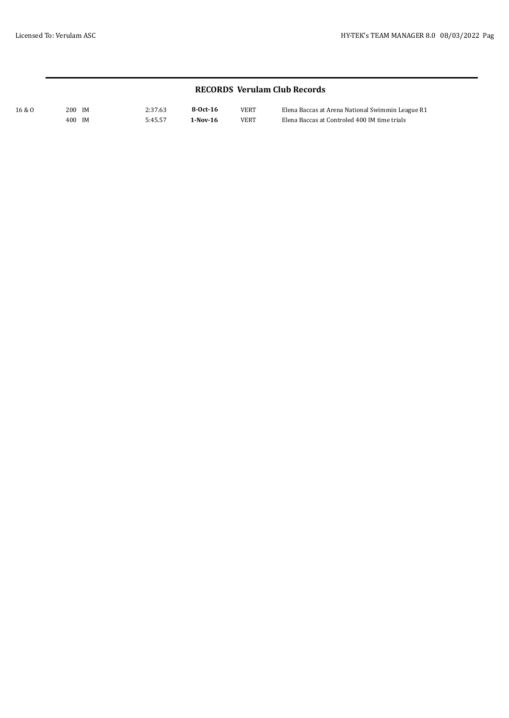16 & O 200 IM 2:37.63 **8-Oct-16** VERT Elena Baccas at Arena National Swimmin League R1 400 IM 5:45.57 **1-Nov-16** VERT Elena Baccas at Controled 400 IM time trials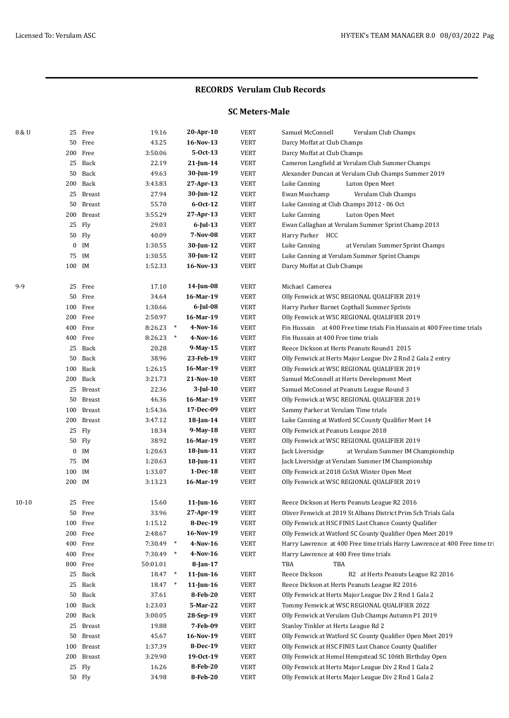### **SC Meters-Male**

| 8 & U     |        | 25 Free          | 19.16          | 20-Apr-10             | <b>VERT</b>                | Samuel McConnell<br>Verulam Club Champs                                            |
|-----------|--------|------------------|----------------|-----------------------|----------------------------|------------------------------------------------------------------------------------|
|           |        | 50 Free          | 43.25          | 16-Nov-13             | <b>VERT</b>                | Darcy Moffat at Club Champs                                                        |
|           |        | 200 Free         | 3:50.06        | $5 - Oct - 13$        | <b>VERT</b>                | Darcy Moffat at Club Champs                                                        |
|           |        | 25 Back          | 22.19          | $21$ -Jun-14          | <b>VERT</b>                | Cameron Langfield at Verulam Club Summer Champs                                    |
|           |        | 50 Back          | 49.63          | 30-Jun-19             | <b>VERT</b>                | Alexander Duncan at Verulam Club Champs Summer 2019                                |
|           |        | 200 Back         | 3:43.83        | 27-Apr-13             | <b>VERT</b>                | Luke Canning<br>Luton Open Meet                                                    |
|           |        | 25 Breast        | 27.94          | 30-Jun-12             | <b>VERT</b>                | Ewan Muschamp<br>Verulam Club Champs                                               |
|           |        | 50 Breast        | 55.70          | $6 - Oct - 12$        | <b>VERT</b>                | Luke Canning at Club Champs 2012 - 06 Oct                                          |
|           |        | 200 Breast       | 3:55.29        | 27-Apr-13             | <b>VERT</b>                | Luke Canning<br>Luton Open Meet                                                    |
|           |        | 25 Fly           | 29.03          | $6$ -Jul-13           | <b>VERT</b>                | Ewan Callaghan at Verulam Summer Sprint Champ 2013                                 |
|           |        | 50 Fly           | 40.09          | 7-Nov-08              | <b>VERT</b>                | Harry Parker HCC                                                                   |
|           |        | $0$ IM           | 1:30.55        | $30$ -Jun-12          | <b>VERT</b>                | Luke Canning<br>at Verulam Summer Sprint Champs                                    |
|           | 75 IM  |                  | 1:30.55        | 30-Jun-12             | <b>VERT</b>                | Luke Canning at Verulam Summer Sprint Champs                                       |
|           | 100 IM |                  | 1:52.33        | 16-Nov-13             | <b>VERT</b>                | Darcy Moffat at Club Champs                                                        |
| $9-9$     |        | 25 Free          | 17.10          | 14-Jun-08             | <b>VERT</b>                | Michael Camerea                                                                    |
|           |        | 50 Free          | 34.64          | 16-Mar-19             | <b>VERT</b>                | Olly Fenwick at WSC REGIONAL QUALIFIER 2019                                        |
|           |        | 100 Free         | 1:30.66        | $6$ -Jul-08           | <b>VERT</b>                | Harry Parker Barnet Copthall Summer Sprints                                        |
|           |        | 200 Free         | 2:50.97        | 16-Mar-19             | <b>VERT</b>                | Olly Fenwick at WSC REGIONAL QUALIFIER 2019                                        |
|           |        | 400 Free         | $8:26.23$ *    | 4-Nov-16              | <b>VERT</b>                | Fin Hussain at 400 Free time trials Fin Hussain at 400 Free time trials            |
|           |        | 400 Free         | $8:26.23$ *    | 4-Nov-16              | <b>VERT</b>                | Fin Hussain at 400 Free time trials                                                |
|           |        | 25 Back          | 20.28          | 9-May-15              | <b>VERT</b>                | Reece Dickson at Herts Peanuts Round1 2015                                         |
|           |        | 50 Back          | 38.96          | 23-Feb-19             | <b>VERT</b>                | Olly Fenwick at Herts Major League Div 2 Rnd 2 Gala 2 entry                        |
|           |        | 100 Back         | 1:26.15        | 16-Mar-19             | <b>VERT</b>                | Olly Fenwick at WSC REGIONAL QUALIFIER 2019                                        |
|           |        | 200 Back         | 3:21.73        | 21-Nov-10             | <b>VERT</b>                | Samuel McConnell at Herts Development Meet                                         |
|           |        | 25 Breast        | 22.36          | 3-Jul-10              | <b>VERT</b>                | Samuel McConnel at Peanuts League Round 3                                          |
|           |        | 50 Breast        | 46.36          | 16-Mar-19             | <b>VERT</b>                | Olly Fenwick at WSC REGIONAL QUALIFIER 2019                                        |
|           |        | 100 Breast       | 1:54.36        | 17-Dec-09             | <b>VERT</b>                | Sammy Parker at Verulam Time trials                                                |
|           |        | 200 Breast       | 3:47.12        | 18-Jan-14             | <b>VERT</b>                | Luke Canning at Watford SC County Qualifier Meet 14                                |
|           |        | 25 Fly<br>50 Fly | 18.34<br>38.92 | 9-May-18<br>16-Mar-19 | <b>VERT</b><br><b>VERT</b> | Olly Fenwick at Peanuts Leaque 2018<br>Olly Fenwick at WSC REGIONAL QUALIFIER 2019 |
|           |        | $0$ IM           | 1:20.63        | 18-Jun-11             | <b>VERT</b>                | at Verulam Summer IM Championship<br>Jack Liversidge                               |
|           | 75 IM  |                  | 1:20.63        | 18-Jun-11             | <b>VERT</b>                | Jack Liversidge at Verulam Summer IM Championship                                  |
|           | 100 IM |                  | 1:33.07        | 1-Dec-18              | <b>VERT</b>                | Olly Fenwick at 2018 CoStA Winter Open Meet                                        |
|           | 200 IM |                  | 3:13.23        | 16-Mar-19             | <b>VERT</b>                | Olly Fenwick at WSC REGIONAL QUALIFIER 2019                                        |
| $10 - 10$ |        | 25 Free          | 15.60          | $11$ -Jun-16          | <b>VERT</b>                | Reece Dickson at Herts Peanuts League R2 2016                                      |
|           |        | 50 Free          | 33.96          | 27-Apr-19             | <b>VERT</b>                | Oliver Fenwick at 2019 St Albans District Prim Sch Trials Gala                     |
|           |        | 100 Free         | 1:15.12        | 8-Dec-19              | <b>VERT</b>                | Olly Fenwick at HSC FINIS Last Chance County Qualifier                             |
|           |        | 200 Free         | 2:48.67        | 16-Nov-19             | <b>VERT</b>                | Olly Fenwick at Watford SC County Qualifier Open Meet 2019                         |
|           |        | 400 Free         | 7:30.49 *      | 4-Nov-16              | <b>VERT</b>                | Harry Lawrence at 400 Free time trials Harry Lawrence at 400 Free time tri         |
|           |        | 400 Free         | $7:30.49$ *    | 4-Nov-16              | <b>VERT</b>                | Harry Lawrence at 400 Free time trials                                             |
|           |        | 800 Free         | 50:01.01       | 8-Jan-17              |                            | TBA<br>TBA                                                                         |
|           |        | 25 Back          | 18.47 *        | $11$ -Jun-16          | <b>VERT</b>                | Reece Dickson<br>R2 at Herts Peanuts League R2 2016                                |
|           |        | 25 Back          | 18.47 *        | $11$ -Jun-16          | <b>VERT</b>                | Reece Dickson at Herts Peanuts League R2 2016                                      |
|           |        | 50 Back          | 37.61          | 8-Feb-20              | <b>VERT</b>                | Olly Fenwick at Herts Major League Div 2 Rnd 1 Gala 2                              |
|           |        | 100 Back         | 1:23.03        | 5-Mar-22              | <b>VERT</b>                | Tommy Fenwick at WSC REGIONAL QUALIFIER 2022                                       |
|           |        | 200 Back         | 3:00.05        | 28-Sep-19             | <b>VERT</b>                | Olly Fenwick at Verulam Club Champs Autumn P1 2019                                 |
|           |        | 25 Breast        | 19.88          | 7-Feb-09              | <b>VERT</b>                | Stanley Tinkler at Herts League Rd 2                                               |
|           |        | 50 Breast        | 45.67          | 16-Nov-19             | <b>VERT</b>                | Olly Fenwick at Watford SC County Qualifier Open Meet 2019                         |
|           |        | 100 Breast       | 1:37.39        | 8-Dec-19              | <b>VERT</b>                | Olly Fenwick at HSC FINIS Last Chance County Qualifier                             |
|           |        | 200 Breast       | 3:29.90        | 19-0ct-19             | <b>VERT</b>                | Olly Fenwick at Hemel Hempstead SC 106th Birthday Open                             |
|           |        | 25 Fly           | 16.26          | 8-Feb-20              | <b>VERT</b>                | Olly Fenwick at Herts Major League Div 2 Rnd 1 Gala 2                              |
|           |        | 50 Fly           | 34.98          | 8-Feb-20              | <b>VERT</b>                | Olly Fenwick at Herts Major League Div 2 Rnd 1 Gala 2                              |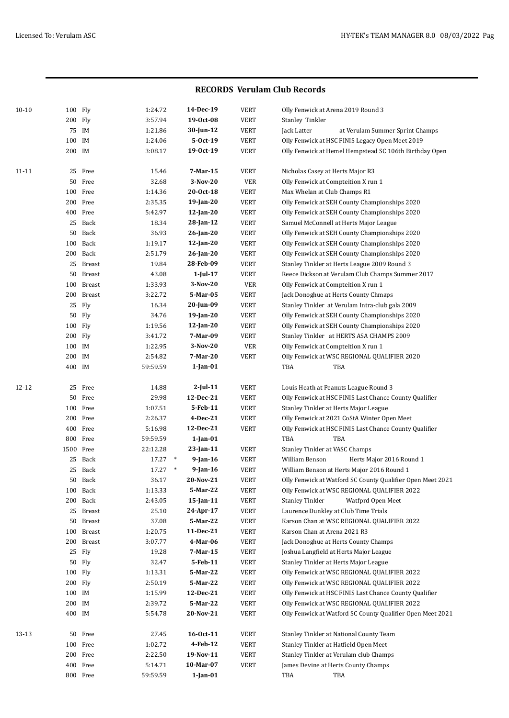| $10 - 10$ | 100 Fly   |            | 1:24.72  | 14-Dec-19             | <b>VERT</b> | Olly Fenwick at Arena 2019 Round 3                         |
|-----------|-----------|------------|----------|-----------------------|-------------|------------------------------------------------------------|
|           | 200 Fly   |            | 3:57.94  | 19-0ct-08             | <b>VERT</b> | Stanley Tinkler                                            |
|           |           | 75 IM      | 1:21.86  | $30$ -Jun-12          | <b>VERT</b> | Jack Latter<br>at Verulam Summer Sprint Champs             |
|           | 100 IM    |            | 1:24.06  | 5-Oct-19              | <b>VERT</b> | Olly Fenwick at HSC FINIS Legacy Open Meet 2019            |
|           | 200 IM    |            | 3:08.17  | 19-0ct-19             | <b>VERT</b> | Olly Fenwick at Hemel Hempstead SC 106th Birthday Open     |
|           |           |            |          |                       |             |                                                            |
| 11-11     |           | 25 Free    | 15.46    | 7-Mar-15              | <b>VERT</b> | Nicholas Casey at Herts Major R3                           |
|           |           | 50 Free    | 32.68    | 3-Nov-20              | <b>VER</b>  | Olly Fenwick at Compteition X run 1                        |
|           |           | 100 Free   | 1:14.36  | 20-Oct-18             | <b>VERT</b> | Max Whelan at Club Champs R1                               |
|           |           | 200 Free   | 2:35.35  | 19-Jan-20             | <b>VERT</b> | Olly Fenwick at SEH County Championships 2020              |
|           |           | 400 Free   | 5:42.97  | $12$ -Jan-20          | <b>VERT</b> | Olly Fenwick at SEH County Championships 2020              |
|           |           | 25 Back    | 18.34    | 28-Jan-12             | <b>VERT</b> | Samuel McConnell at Herts Major League                     |
|           |           | 50 Back    | 36.93    | 26-Jan-20             | <b>VERT</b> | Olly Fenwick at SEH County Championships 2020              |
|           |           | 100 Back   | 1:19.17  | 12-Jan-20             | <b>VERT</b> | Olly Fenwick at SEH County Championships 2020              |
|           |           | 200 Back   | 2:51.79  | 26-Jan-20             | <b>VERT</b> | Olly Fenwick at SEH County Championships 2020              |
|           |           | 25 Breast  | 19.84    | 28-Feb-09             | <b>VERT</b> | Stanley Tinkler at Herts League 2009 Round 3               |
|           |           | 50 Breast  | 43.08    | 1-Jul-17              | <b>VERT</b> | Reece Dickson at Verulam Club Champs Summer 2017           |
|           |           | 100 Breast | 1:33.93  | 3-Nov-20              | <b>VER</b>  | Olly Fenwick at Compteition X run 1                        |
|           |           | 200 Breast | 3:22.72  | 5-Mar-05              | <b>VERT</b> | Jack Donoghue at Herts County Chmaps                       |
|           |           | 25 Fly     | 16.34    | 20-Jun-09             | <b>VERT</b> | Stanley Tinkler at Verulam Intra-club gala 2009            |
|           |           | 50 Fly     | 34.76    | 19-Jan-20             | <b>VERT</b> | Olly Fenwick at SEH County Championships 2020              |
|           | 100 Fly   |            | 1:19.56  | $12$ -Jan-20          | <b>VERT</b> | Olly Fenwick at SEH County Championships 2020              |
|           | 200 Fly   |            | 3:41.72  | 7-Mar-09              | <b>VERT</b> | Stanley Tinkler at HERTS ASA CHAMPS 2009                   |
|           | 100 IM    |            | 1:22.95  | 3-Nov-20              | <b>VER</b>  | Olly Fenwick at Compteition X run 1                        |
|           | 200 IM    |            | 2:54.82  | 7-Mar-20              | <b>VERT</b> | Olly Fenwick at WSC REGIONAL QUALIFIER 2020                |
|           | 400 IM    |            | 59:59.59 | $1$ -Jan-01           |             | TBA<br>TBA                                                 |
| 12-12     |           | 25 Free    | 14.88    | $2$ -Jul-11           | <b>VERT</b> | Louis Heath at Peanuts League Round 3                      |
|           |           | 50 Free    | 29.98    | 12-Dec-21             | <b>VERT</b> | Olly Fenwick at HSC FINIS Last Chance County Qualifier     |
|           |           | 100 Free   | 1:07.51  | 5-Feb-11              | <b>VERT</b> | Stanley Tinkler at Herts Major League                      |
|           |           | 200 Free   | 2:26.37  | 4-Dec-21              | <b>VERT</b> | Olly Fenwick at 2021 CoStA Winter Open Meet                |
|           |           | 400 Free   | 5:16.98  | 12-Dec-21             | <b>VERT</b> | Olly Fenwick at HSC FINIS Last Chance County Qualifier     |
|           |           | 800 Free   | 59:59.59 | 1-Jan-01              |             | TBA<br>TBA                                                 |
|           | 1500 Free |            | 22:12.28 | $23$ -Jan-11          | <b>VERT</b> | Stanley Tinkler at VASC Champs                             |
|           |           | 25 Back    | 17.27    | $\ast$<br>$9$ -Jan-16 | <b>VERT</b> | <b>William Benson</b><br>Herts Major 2016 Round 1          |
|           |           | 25 Back    | 17.27    | $\ast$<br>$9$ -Jan-16 | <b>VERT</b> | William Benson at Herts Major 2016 Round 1                 |
|           | 50        | Back       | 36.17    | 20-Nov-21             | <b>VERT</b> | Olly Fenwick at Watford SC County Qualifier Open Meet 2021 |
|           |           | 100 Back   | 1:13.33  | 5-Mar-22              | <b>VERT</b> | Olly Fenwick at WSC REGIONAL QUALIFIER 2022                |
|           |           | 200 Back   | 2:43.05  | $15$ -Jan- $11$       | <b>VERT</b> | <b>Stanley Tinkler</b><br>Watfprd Open Meet                |
|           |           | 25 Breast  | 25.10    | 24-Apr-17             | <b>VERT</b> | Laurence Dunkley at Club Time Trials                       |
|           | 50        | Breast     | 37.08    | 5-Mar-22              | <b>VERT</b> | Karson Chan at WSC REGIONAL QUALIFIER 2022                 |
|           |           | 100 Breast | 1:20.75  | 11-Dec-21             | <b>VERT</b> | Karson Chan at Arena 2021 R3                               |
|           |           | 200 Breast | 3:07.77  | 4-Mar-06              | <b>VERT</b> | Jack Donoghue at Herts County Champs                       |
|           |           | 25 Fly     | 19.28    | 7-Mar-15              | <b>VERT</b> | Joshua Langfield at Herts Major League                     |
|           |           | 50 Fly     | 32.47    | 5-Feb-11              | <b>VERT</b> | Stanley Tinkler at Herts Major League                      |
|           | 100 Fly   |            | 1:13.31  | 5-Mar-22              | <b>VERT</b> | Olly Fenwick at WSC REGIONAL QUALIFIER 2022                |
|           | 200 Fly   |            | 2:50.19  | 5-Mar-22              | <b>VERT</b> | Olly Fenwick at WSC REGIONAL QUALIFIER 2022                |
|           | 100 IM    |            | 1:15.99  | 12-Dec-21             | <b>VERT</b> | Olly Fenwick at HSC FINIS Last Chance County Qualifier     |
|           | 200 IM    |            | 2:39.72  | 5-Mar-22              | <b>VERT</b> | Olly Fenwick at WSC REGIONAL QUALIFIER 2022                |
|           | 400 IM    |            | 5:54.78  | 20-Nov-21             | <b>VERT</b> | Olly Fenwick at Watford SC County Qualifier Open Meet 2021 |
| 13-13     |           | 50 Free    | 27.45    | 16-Oct-11             | <b>VERT</b> | Stanley Tinkler at National County Team                    |
|           |           | 100 Free   | 1:02.72  | 4-Feb-12              | <b>VERT</b> | Stanley Tinkler at Hatfield Open Meet                      |
|           |           | 200 Free   | 2:22.50  | 19-Nov-11             | <b>VERT</b> | Stanley Tinkler at Verulam club Champs                     |
|           |           | 400 Free   | 5:14.71  | 10-Mar-07             | <b>VERT</b> | James Devine at Herts County Champs                        |
|           |           | 800 Free   | 59:59.59 | $1$ -Jan- $01$        |             | TBA<br>TBA                                                 |
|           |           |            |          |                       |             |                                                            |